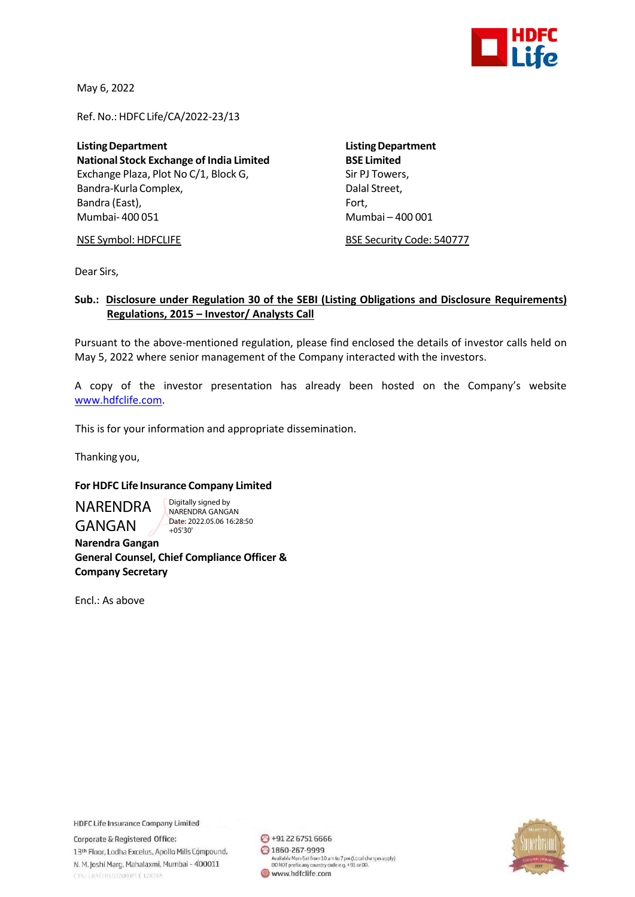

May 6, 2022

Ref. No.: HDFC Life/CA/2022-23/13

**ListingDepartment ListingDepartment National Stock Exchange of India Limited** Exchange Plaza, Plot No C/1, Block G, Sir PJ Towers, Bandra-Kurla Complex, and the complexed of the Dalal Street, Bandra (East), Fort, Fort, Fort, Fort, Fort, Fort, Fort, Fort, Fort, Fort, Fort, Fort, Fort, Fort, Fort, Fort, Mumbai- 400 051 Mumbai – 400 001

NSE Symbol: HDFCLIFE BSE Security Code: 540777

Dear Sirs,

## **Sub.: Disclosure under Regulation 30 of the SEBI (Listing Obligations and Disclosure Requirements) Regulations, 2015 – Investor/ Analysts Call**

Pursuant to the above-mentioned regulation, please find enclosed the details of investor calls held on May 5, 2022 where senior management of the Company interacted with the investors.

A copy of the investor presentation has already been hosted on the Company's website [www.hdfclife.com.](http://www.hdfclife.com/)

This is for your information and appropriate dissemination.

Thanking you,

## **For HDFC Life Insurance Company Limited**

NARENDRA GANGAN

Digitally signed by NARENDRA GANGAN Date: 2022.05.06 16:28:50 +05'30'

 **Narendra Gangan General Counsel, Chief Compliance Officer & Company Secretary**

Encl.: As above

**HDFC Life Insurance Company Limited** 

Corporate & Registered Office: 13th Floor, Lodha Excelus, Apollo Mills Compound, N. M. Joshi Marg, Mahalaxmi, Mumbai - 400011 CINTERSUMMIT2000PLCT28245

→91 22 6751 6666 ◎ 1860-267-9999 Available Mon-Sat from 10 am to 7 pm (Local charges apply)<br>DO NOT prefix any country code e.g. +91 or 00. www.hdfclife.com